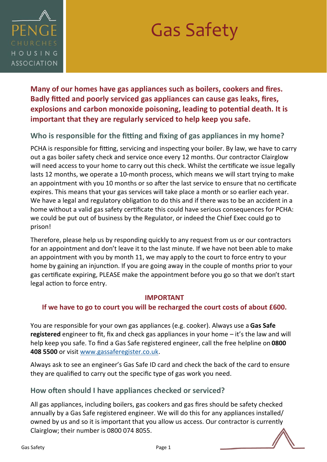

# Gas Safety

**Many of our homes have gas appliances such as boilers, cookers and fires. Badly fitted and poorly serviced gas appliances can cause gas leaks, fires, explosions and carbon monoxide poisoning, leading to potential death. It is important that they are regularly serviced to help keep you safe.** 

## **Who is responsible for the fitting and fixing of gas appliances in my home?**

PCHA is responsible for fitting, servicing and inspecting your boiler. By law, we have to carry out a gas boiler safety check and service once every 12 months. Our contractor Clairglow will need access to your home to carry out this check. Whilst the certificate we issue legally lasts 12 months, we operate a 10-month process, which means we will start trying to make an appointment with you 10 months or so after the last service to ensure that no certificate expires. This means that your gas services will take place a month or so earlier each year. We have a legal and regulatory obligation to do this and if there was to be an accident in a home without a valid gas safety certificate this could have serious consequences for PCHA: we could be put out of business by the Regulator, or indeed the Chief Exec could go to prison!

Therefore, please help us by responding quickly to any request from us or our contractors for an appointment and don't leave it to the last minute. If we have not been able to make an appointment with you by month 11, we may apply to the court to force entry to your home by gaining an injunction. If you are going away in the couple of months prior to your gas certificate expiring, PLEASE make the appointment before you go so that we don't start legal action to force entry.

#### **IMPORTANT**

#### **If we have to go to court you will be recharged the court costs of about £600.**

You are responsible for your own gas appliances (e.g. cooker). Always use a **Gas Safe registered** engineer to fit, fix and check gas appliances in your home – it's the law and will help keep you safe. To find a Gas Safe registered engineer, call the free helpline on **0800 408 5500** or visit [www.gassaferegister.co.uk.](http://www.gassaferegister.co.uk)

Always ask to see an engineer's Gas Safe ID card and check the back of the card to ensure they are qualified to carry out the specific type of gas work you need.

## **How often should I have appliances checked or serviced?**

All gas appliances, including boilers, gas cookers and gas fires should be safety checked annually by a Gas Safe registered engineer. We will do this for any appliances installed/ owned by us and so it is important that you allow us access. Our contractor is currently Clairglow; their number is 0800 074 8055.